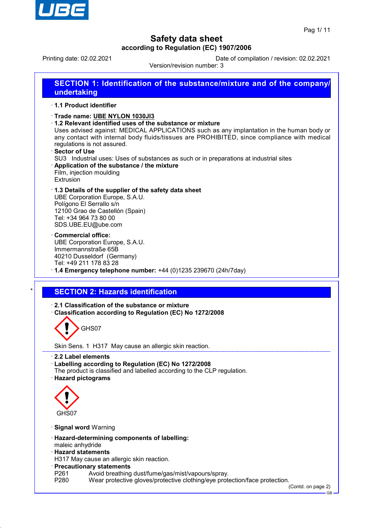

Printing date: 02.02.2021 Date of compilation / revision: 02.02.2021

Version/revision number: 3 **SECTION 1: Identification of the substance/mixture and of the company/ undertaking** · **1.1 Product identifier** · **Trade name: UBE NYLON 1030JI3** · **1.2 Relevant identified uses of the substance or mixture** Uses advised against: MEDICAL APPLICATIONS such as any implantation in the human body or any contact with internal body fluids/tissues are PROHIBITED, since compliance with medical regulations is not assured. · **Sector of Use** SU3 Industrial uses: Uses of substances as such or in preparations at industrial sites · **Application of the substance / the mixture** Film, injection moulding Extrusion · **1.3 Details of the supplier of the safety data sheet** UBE Corporation Europe, S.A.U. Polígono El Serrallo s/n 12100 Grao de Castellón (Spain) Tel: +34 964 73 80 00 SDS.UBE.EU@ube.com · **Commercial office:** UBE Corporation Europe, S.A.U. Immermannstraße 65B 40210 Dusseldorf (Germany) Tel: +49 211 178 83 28 · **1.4 Emergency telephone number:** +44 (0)1235 239670 (24h/7day) **SECTION 2: Hazards identification** · **2.1 Classification of the substance or mixture** · **Classification according to Regulation (EC) No 1272/2008** GHS07 Skin Sens. 1 H317 May cause an allergic skin reaction. · **2.2 Label elements** · **Labelling according to Regulation (EC) No 1272/2008** The product is classified and labelled according to the CLP regulation. · **Hazard pictograms** GHS07 · **Signal word** Warning

- 
- · **Hazard-determining components of labelling:**
- maleic anhydride
- · **Hazard statements**
- H317 May cause an allergic skin reaction.
- · **Precautionary statements**
- P261 Avoid breathing dust/fume/gas/mist/vapours/spray.<br>P280 Wear protective gloves/protective clothing/eve prote
- Wear protective gloves/protective clothing/eye protection/face protection.

(Contd. on page 2)

GB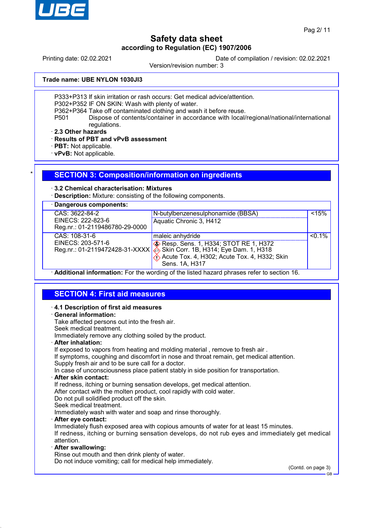

Printing date: 02.02.2021 Date of compilation / revision: 02.02.2021

Version/revision number: 3

**Trade name: UBE NYLON 1030JI3**

P333+P313 If skin irritation or rash occurs: Get medical advice/attention.

P302+P352 IF ON SKIN: Wash with plenty of water.

P362+P364 Take off contaminated clothing and wash it before reuse.

P501 Dispose of contents/container in accordance with local/regional/national/international regulations.

· **2.3 Other hazards**

· **Results of PBT and vPvB assessment**

· **PBT:** Not applicable.

· **vPvB:** Not applicable.

#### **SECTION 3: Composition/information on ingredients**

#### · **3.2 Chemical characterisation: Mixtures**

· **Description:** Mixture: consisting of the following components.

· **Dangerous components:** CAS: 3622-84-2 EINECS: 222-823-6 Reg.nr.: 01-2119486780-29-0000 N-butylbenzenesulphonamide (BBSA) Aquatic Chronic 3, H412  $< 15%$ CAS: 108-31-6 EINECS: 203-571-6 Reg.nr.: 01-2119472428-31-XXXX maleic anhydride Resp. Sens. 1, H334; STOT RE 1, H372 Skin Corr. 1B, H314; Eye Dam. 1, H318  $\langle \cdot \rangle$  Acute Tox. 4, H302; Acute Tox. 4, H332; Skin Sens. 1A, H317  $50.1%$ 

· **Additional information:** For the wording of the listed hazard phrases refer to section 16.

# **SECTION 4: First aid measures**

#### · **4.1 Description of first aid measures**

#### · **General information:**

Take affected persons out into the fresh air.

Seek medical treatment. Immediately remove any clothing soiled by the product.

· **After inhalation:**

If exposed to vapors from heating and molding material, remove to fresh air.

If symptoms, coughing and discomfort in nose and throat remain, get medical attention.

Supply fresh air and to be sure call for a doctor.

In case of unconsciousness place patient stably in side position for transportation.

#### · **After skin contact:**

If redness, itching or burning sensation develops, get medical attention.

After contact with the molten product, cool rapidly with cold water.

Do not pull solidified product off the skin.

Seek medical treatment.

Immediately wash with water and soap and rinse thoroughly.

#### · **After eye contact:**

Immediately flush exposed area with copious amounts of water for at least 15 minutes. If redness, itching or burning sensation develops, do not rub eyes and immediately get medical attention.

#### · **After swallowing:**

Rinse out mouth and then drink plenty of water.

Do not induce vomiting; call for medical help immediately.

(Contd. on page 3)

GB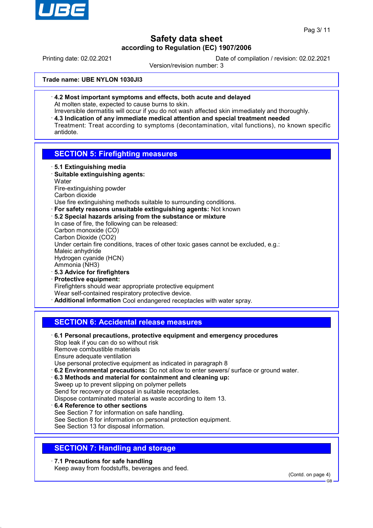

Printing date: 02.02.2021 Date of compilation / revision: 02.02.2021

Version/revision number: 3

**Trade name: UBE NYLON 1030JI3**

· **4.2 Most important symptoms and effects, both acute and delayed** At molten state, expected to cause burns to skin.

Irreversible dermatitis will occur if you do not wash affected skin immediately and thoroughly. · **4.3 Indication of any immediate medical attention and special treatment needed** Treatment: Treat according to symptoms (decontamination, vital functions), no known specific antidote.

### **SECTION 5: Firefighting measures**

- · **5.1 Extinguishing media**
- · **Suitable extinguishing agents: Water**

Fire-extinguishing powder

Carbon dioxide

Use fire extinguishing methods suitable to surrounding conditions.

- · **For safety reasons unsuitable extinguishing agents:** Not known
- · **5.2 Special hazards arising from the substance or mixture**

In case of fire, the following can be released: Carbon monoxide (CO)

Carbon Dioxide (CO2)

Under certain fire conditions, traces of other toxic gases cannot be excluded, e.g.:

Maleic anhydride Hydrogen cyanide (HCN)

Ammonia (NH3)

- · **5.3 Advice for firefighters**
- · **Protective equipment:**

Firefighters should wear appropriate protective equipment

Wear self-contained respiratory protective device.

· **Additional information** Cool endangered receptacles with water spray.

# **SECTION 6: Accidental release measures**

- · **6.1 Personal precautions, protective equipment and emergency procedures** Stop leak if you can do so without risk Remove combustible materials Ensure adequate ventilation Use personal protective equipment as indicated in paragraph 8
- · **6.2 Environmental precautions:** Do not allow to enter sewers/ surface or ground water.
- · **6.3 Methods and material for containment and cleaning up:** Sweep up to prevent slipping on polymer pellets

Send for recovery or disposal in suitable receptacles.

Dispose contaminated material as waste according to item 13.

· **6.4 Reference to other sections** See Section 7 for information on safe handling. See Section 8 for information on personal protection equipment. See Section 13 for disposal information.

# **SECTION 7: Handling and storage**

· **7.1 Precautions for safe handling** Keep away from foodstuffs, beverages and feed.

(Contd. on page 4)

GB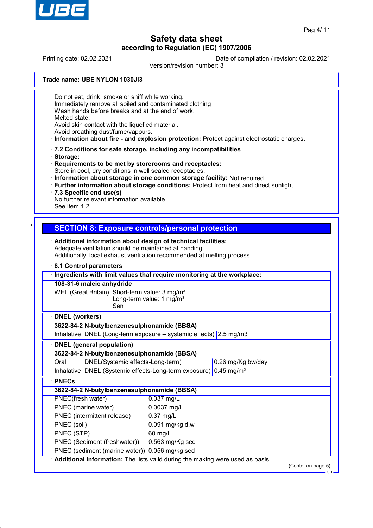

Printing date: 02.02.2021 Date of compilation / revision: 02.02.2021

Version/revision number: 3

**Trade name: UBE NYLON 1030JI3**

Do not eat, drink, smoke or sniff while working. Immediately remove all soiled and contaminated clothing

Wash hands before breaks and at the end of work.

Melted state:

Avoid skin contact with the liquefied material.

Avoid breathing dust/fume/vapours.

· **Information about fire - and explosion protection:** Protect against electrostatic charges.

- · **7.2 Conditions for safe storage, including any incompatibilities**
- · **Storage:**

· **Requirements to be met by storerooms and receptacles:** Store in cool, dry conditions in well sealed receptacles.

· **Information about storage in one common storage facility:** Not required.

· **Further information about storage conditions:** Protect from heat and direct sunlight.

· **7.3 Specific end use(s)**

No further relevant information available.

See item 1.2

# **SECTION 8: Exposure controls/personal protection**

· **Additional information about design of technical facilities:** Adequate ventilation should be maintained at handing. Additionally, local exhaust ventilation recommended at melting process.

#### · **8.1 Control parameters**

|                                                                                                   | Ingredients with limit values that require monitoring at the workplace:        |                                  |                                                                               |                   |                    |
|---------------------------------------------------------------------------------------------------|--------------------------------------------------------------------------------|----------------------------------|-------------------------------------------------------------------------------|-------------------|--------------------|
|                                                                                                   | 108-31-6 maleic anhydride                                                      |                                  |                                                                               |                   |                    |
| WEL (Great Britain) Short-term value: 3 mg/m <sup>3</sup><br>Long-term value: 1 mg/m <sup>3</sup> |                                                                                |                                  |                                                                               |                   |                    |
|                                                                                                   |                                                                                | Sen                              |                                                                               |                   |                    |
| <b>DNEL</b> (workers)                                                                             |                                                                                |                                  |                                                                               |                   |                    |
|                                                                                                   |                                                                                |                                  | 3622-84-2 N-butylbenzenesulphonamide (BBSA)                                   |                   |                    |
|                                                                                                   | Inhalative DNEL (Long-term exposure $-$ systemic effects) 2.5 mg/m3            |                                  |                                                                               |                   |                    |
|                                                                                                   | <b>DNEL</b> (general population)                                               |                                  |                                                                               |                   |                    |
|                                                                                                   |                                                                                |                                  | 3622-84-2 N-butylbenzenesulphonamide (BBSA)                                   |                   |                    |
| Oral                                                                                              |                                                                                | DNEL(Systemic effects-Long-term) |                                                                               | 0.26 mg/Kg bw/day |                    |
|                                                                                                   | Inhalative   DNEL (Systemic effects-Long-term exposure) 0.45 mg/m <sup>3</sup> |                                  |                                                                               |                   |                    |
| <b>PNECs</b>                                                                                      |                                                                                |                                  |                                                                               |                   |                    |
|                                                                                                   | 3622-84-2 N-butylbenzenesulphonamide (BBSA)                                    |                                  |                                                                               |                   |                    |
|                                                                                                   | PNEC(fresh water)<br>0.037 mg/L                                                |                                  |                                                                               |                   |                    |
| PNEC (marine water)                                                                               |                                                                                | 0.0037 mg/L                      |                                                                               |                   |                    |
| PNEC (intermittent release)                                                                       |                                                                                | $0.37$ mg/L                      |                                                                               |                   |                    |
| PNEC (soil)<br>0.091 mg/kg d.w                                                                    |                                                                                |                                  |                                                                               |                   |                    |
| PNEC (STP)                                                                                        |                                                                                |                                  | 60 mg/L                                                                       |                   |                    |
|                                                                                                   |                                                                                | PNEC (Sediment (freshwater))     | 0.563 mg/Kg sed                                                               |                   |                    |
|                                                                                                   |                                                                                |                                  | PNEC (sediment (marine water)) 0.056 mg/kg sed                                |                   |                    |
|                                                                                                   |                                                                                |                                  | Additional information: The lists valid during the making were used as basis. |                   |                    |
|                                                                                                   |                                                                                |                                  |                                                                               |                   | (Contd. on page 5) |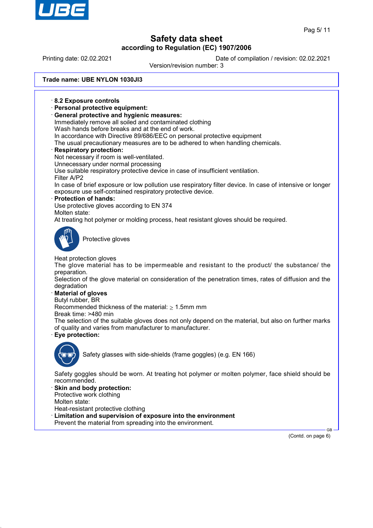

# **Safety data sheet**

**according to Regulation (EC) 1907/2006** Printing date: 02.02.2021 Date of compilation / revision: 02.02.2021 Version/revision number: 3 **Trade name: UBE NYLON 1030JI3** · **8.2 Exposure controls** · **Personal protective equipment:** · **General protective and hygienic measures:** Immediately remove all soiled and contaminated clothing Wash hands before breaks and at the end of work. In accordance with Directive 89/686/EEC on personal protective equipment The usual precautionary measures are to be adhered to when handling chemicals. · **Respiratory protection:** Not necessary if room is well-ventilated. Unnecessary under normal processing Use suitable respiratory protective device in case of insufficient ventilation. Filter A/P2 In case of brief exposure or low pollution use respiratory filter device. In case of intensive or longer exposure use self-contained respiratory protective device. · **Protection of hands:** Use protective gloves according to EN 374 Molten state: At treating hot polymer or molding process, heat resistant gloves should be required. Protective gloves Heat protection gloves The glove material has to be impermeable and resistant to the product/ the substance/ the preparation. Selection of the glove material on consideration of the penetration times, rates of diffusion and the degradation · **Material of gloves** Butyl rubber, BR Recommended thickness of the material:  $\geq 1.5$ mm mm Break time: >480 min The selection of the suitable gloves does not only depend on the material, but also on further marks of quality and varies from manufacturer to manufacturer. · **Eye protection:** Safety glasses with side-shields (frame goggles) (e.g. EN 166) Safety goggles should be worn. At treating hot polymer or molten polymer, face shield should be recommended. Skin and body protection: Protective work clothing Molten state:

- Heat-resistant protective clothing
- · **Limitation and supervision of exposure into the environment**
- Prevent the material from spreading into the environment.

(Contd. on page 6)

GB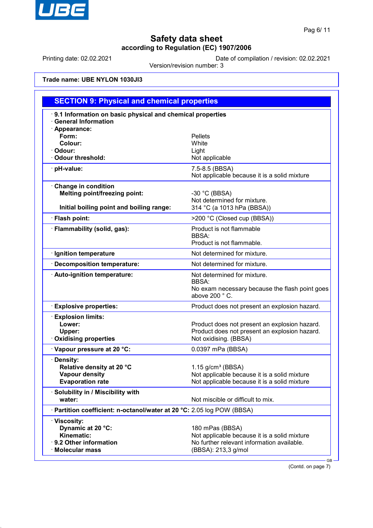

Printing date: 02.02.2021 Date of compilation / revision: 02.02.2021

Version/revision number: 3

**Trade name: UBE NYLON 1030JI3**

|                                                                                                         | <b>SECTION 9: Physical and chemical properties</b>                                                                                   |  |  |
|---------------------------------------------------------------------------------------------------------|--------------------------------------------------------------------------------------------------------------------------------------|--|--|
| 9.1 Information on basic physical and chemical properties<br><b>General Information</b>                 |                                                                                                                                      |  |  |
| · Appearance:<br>Form:<br>Colour:<br>· Odour:<br>Odour threshold:                                       | <b>Pellets</b><br>White<br>Light<br>Not applicable                                                                                   |  |  |
| · pH-value:                                                                                             | 7.5-8.5 (BBSA)<br>Not applicable because it is a solid mixture                                                                       |  |  |
| Change in condition<br><b>Melting point/freezing point:</b><br>Initial boiling point and boiling range: | -30 $°C$ (BBSA)<br>Not determined for mixture.<br>314 °C (a 1013 hPa (BBSA))                                                         |  |  |
| · Flash point:                                                                                          | >200 °C (Closed cup (BBSA))                                                                                                          |  |  |
| · Flammability (solid, gas):                                                                            | Product is not flammable<br><b>BBSA:</b><br>Product is not flammable.                                                                |  |  |
| · Ignition temperature                                                                                  | Not determined for mixture.                                                                                                          |  |  |
| Decomposition temperature:                                                                              | Not determined for mixture.                                                                                                          |  |  |
| · Auto-ignition temperature:                                                                            | Not determined for mixture.<br>BBSA:<br>No exam necessary because the flash point goes<br>above 200 °C.                              |  |  |
| <b>Explosive properties:</b>                                                                            | Product does not present an explosion hazard.                                                                                        |  |  |
| <b>Explosion limits:</b><br>Lower:<br>Upper:<br><b>Oxidising properties</b>                             | Product does not present an explosion hazard.<br>Product does not present an explosion hazard.<br>Not oxidising. (BBSA)              |  |  |
| Vapour pressure at 20 °C:                                                                               | 0.0397 mPa (BBSA)                                                                                                                    |  |  |
| Density:<br>Relative density at 20 °C<br><b>Vapour density</b><br><b>Evaporation rate</b>               | $1.15$ g/cm <sup>3</sup> (BBSA)<br>Not applicable because it is a solid mixture<br>Not applicable because it is a solid mixture      |  |  |
| · Solubility in / Miscibility with<br>water:                                                            | Not miscible or difficult to mix.                                                                                                    |  |  |
| · Partition coefficient: n-octanol/water at 20 °C: 2.05 log POW (BBSA)                                  |                                                                                                                                      |  |  |
| · Viscosity:<br>Dynamic at 20 °C:<br>Kinematic:<br>· 9.2 Other information<br>· Molecular mass          | 180 mPas (BBSA)<br>Not applicable because it is a solid mixture<br>No further relevant information available.<br>(BBSA): 213,3 g/mol |  |  |

(Contd. on page 7)

GB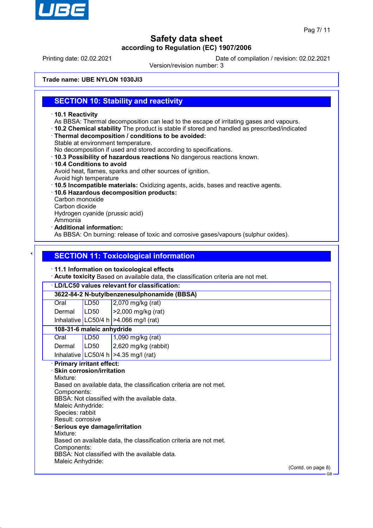

Printing date: 02.02.2021 Date of compilation / revision: 02.02.2021

Version/revision number: 3

**Trade name: UBE NYLON 1030JI3**

## **SECTION 10: Stability and reactivity**

- · **10.1 Reactivity**
- As BBSA: Thermal decomposition can lead to the escape of irritating gases and vapours.
- · **10.2 Chemical stability** The product is stable if stored and handled as prescribed/indicated
- · **Thermal decomposition / conditions to be avoided:**
- Stable at environment temperature.

No decomposition if used and stored according to specifications.

- · **10.3 Possibility of hazardous reactions** No dangerous reactions known.
- · **10.4 Conditions to avoid** Avoid heat, flames, sparks and other sources of ignition.
- Avoid high temperature
- · **10.5 Incompatible materials:** Oxidizing agents, acids, bases and reactive agents.
- · **10.6 Hazardous decomposition products:**
- Carbon monoxide
- Carbon dioxide

Hydrogen cyanide (prussic acid)

- Ammonia
- · **Additional information:**

As BBSA: On burning: release of toxic and corrosive gases/vapours (sulphur oxides).

# **SECTION 11: Toxicological information**

#### · **11.1 Information on toxicological effects**

· **Acute toxicity** Based on available data, the classification criteria are not met.

# · **LD/LC50 values relevant for classification:**

**3622-84-2 N-butylbenzenesulphonamide (BBSA)**

| Oral   | LD50 | $\vert$ 2,070 mg/kg (rat)  |
|--------|------|----------------------------|
| Dermal | LDS0 | $\vert$ >2,000 mg/kg (rat) |

Inhalative LC50/4 h  $>4.066$  mg/l (rat)

### **108-31-6 maleic anhydride**

| Oral   | LD50 | $1,090$ mg/kg (rat)                    |
|--------|------|----------------------------------------|
| Dermal | LD50 | $2,620$ mg/kg (rabbit)                 |
|        |      | Inhalative LC50/4 h $>4.35$ mg/l (rat) |

### · **Primary irritant effect:**

· **Skin corrosion/irritation** Mixture: Based on available data, the classification criteria are not met. Components: BBSA: Not classified with the available data. Maleic Anhydride: Species: rabbit Result: corrosive · **Serious eye damage/irritation** Mixture: Based on available data, the classification criteria are not met. Components: BBSA: Not classified with the available data. Maleic Anhydride:

(Contd. on page 8)

GB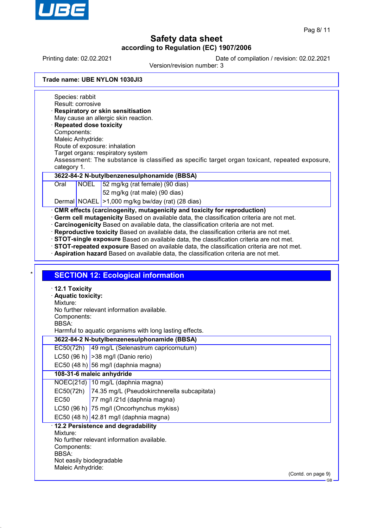

Printing date: 02.02.2021 Date of compilation / revision: 02.02.2021

Version/revision number: 3

|  | Trade name: UBE NYLON 1030JI3 |  |
|--|-------------------------------|--|
|  |                               |  |

Species: rabbit Result: corrosive · **Respiratory or skin sensitisation** May cause an allergic skin reaction. · **Repeated dose toxicity** Components: Maleic Anhydride: Route of exposure: inhalation Target organs: respiratory system Assessment: The substance is classified as specific target organ toxicant, repeated exposure, category 1. **3622-84-2 N-butylbenzenesulphonamide (BBSA)** Oral NOEL 52 mg/kg (rat female) (90 dias) 52 mg/kg (rat male) (90 dias) Dermal NOAEL >1,000 mg/kg bw/day (rat) (28 dias) · **CMR effects (carcinogenity, mutagenicity and toxicity for reproduction)** · **Germ cell mutagenicity** Based on available data, the classification criteria are not met. · **Carcinogenicity** Based on available data, the classification criteria are not met. · **Reproductive toxicity** Based on available data, the classification criteria are not met. · **STOT-single exposure** Based on available data, the classification criteria are not met. · **STOT-repeated exposure** Based on available data, the classification criteria are not met. · **Aspiration hazard** Based on available data, the classification criteria are not met. **SECTION 12: Ecological information** · **12.1 Toxicity** · **Aquatic toxicity:** Mixture: No further relevant information available. Components: BBSA: Harmful to aquatic organisms with long lasting effects. **3622-84-2 N-butylbenzenesulphonamide (BBSA)** EC50(72h) 49 mg/L (Selenastrum capricornutum) LC50 (96 h)  $|>$ 38 mg/l (Danio rerio) EC50 (48 h) 56 mg/l (daphnia magna) **108-31-6 maleic anhydride** NOEC(21d) 10 mg/L (daphnia magna) EC50(72h) 74.35 mg/L (Pseudokirchnerella subcapitata) EC50 77 mg/l /21d (daphnia magna) LC50 (96 h) 75 mg/l (Oncorhynchus mykiss) EC50 (48 h)  $|42.81 \text{ mg/}$  (daphnia magna) · **12.2 Persistence and degradability**

Mixture: No further relevant information available. Components:

BBSA:

Not easily biodegradable

Maleic Anhydride:

(Contd. on page 9)

GB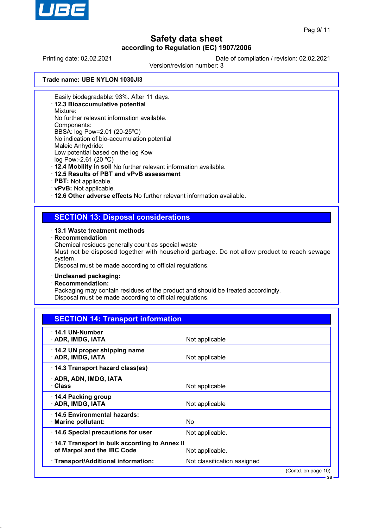

GB

# **Safety data sheet according to Regulation (EC) 1907/2006**

Printing date: 02.02.2021 Date of compilation / revision: 02.02.2021

Version/revision number: 3

**Trade name: UBE NYLON 1030JI3**

Easily biodegradable: 93%. After 11 days.

· **12.3 Bioaccumulative potential**

Mixture:

No further relevant information available.

Components:

BBSA: log Pow=2.01 (20-25ºC) No indication of bio-accumulation potential Maleic Anhydride:

Low potential based on the log Kow

log Pow:-2.61 (20 ºC)

· **12.4 Mobility in soil** No further relevant information available.

- · **12.5 Results of PBT and vPvB assessment**
- · **PBT:** Not applicable.
- · **vPvB:** Not applicable.

· **12.6 Other adverse effects** No further relevant information available.

# **SECTION 13: Disposal considerations**

#### · **13.1 Waste treatment methods**

· **Recommendation**

Chemical residues generally count as special waste

Must not be disposed together with household garbage. Do not allow product to reach sewage system.

Disposal must be made according to official regulations.

#### · **Uncleaned packaging:**

· **Recommendation:**

Packaging may contain residues of the product and should be treated accordingly. Disposal must be made according to official regulations.

| <b>SECTION 14: Transport information</b>                                                      |                             |                     |
|-----------------------------------------------------------------------------------------------|-----------------------------|---------------------|
| $\cdot$ 14.1 UN-Number<br>· ADR, IMDG, IATA                                                   | Not applicable              |                     |
| 14.2 UN proper shipping name<br>· ADR, IMDG, IATA                                             | Not applicable              |                     |
| 14.3 Transport hazard class(es)                                                               |                             |                     |
| · ADR, ADN, IMDG, IATA<br>· Class                                                             | Not applicable              |                     |
| 14.4 Packing group<br>· ADR, IMDG, IATA                                                       | Not applicable              |                     |
| 14.5 Environmental hazards:<br>$\cdot$ Marine pollutant:                                      | No.                         |                     |
| 14.6 Special precautions for user                                                             | Not applicable.             |                     |
| 14.7 Transport in bulk according to Annex II<br>of Marpol and the IBC Code<br>Not applicable. |                             |                     |
| · Transport/Additional information:                                                           | Not classification assigned |                     |
|                                                                                               |                             | (Contd. on page 10) |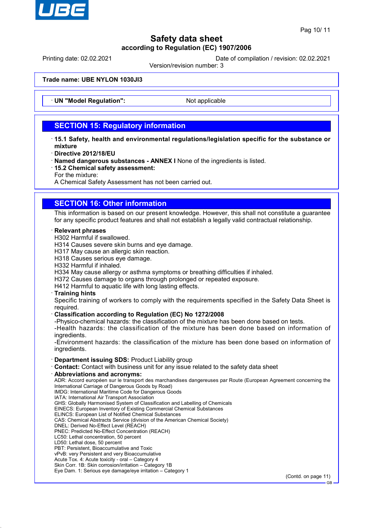

Printing date: 02.02.2021 Date of compilation / revision: 02.02.2021

Version/revision number: 3

**Trade name: UBE NYLON 1030JI3**

**UN "Model Regulation":** Not applicable

# **SECTION 15: Regulatory information**

- · **15.1 Safety, health and environmental regulations/legislation specific for the substance or mixture**
- · **Directive 2012/18/EU**
- · **Named dangerous substances ANNEX I** None of the ingredients is listed.
- · **15.2 Chemical safety assessment:**
- For the mixture:

A Chemical Safety Assessment has not been carried out.

# **SECTION 16: Other information**

This information is based on our present knowledge. However, this shall not constitute a guarantee for any specific product features and shall not establish a legally valid contractual relationship.

#### · **Relevant phrases**

- H302 Harmful if swallowed.
- H314 Causes severe skin burns and eye damage.
- H317 May cause an allergic skin reaction.
- H318 Causes serious eye damage.
- H332 Harmful if inhaled.
- H334 May cause allergy or asthma symptoms or breathing difficulties if inhaled.
- H372 Causes damage to organs through prolonged or repeated exposure.
- H412 Harmful to aquatic life with long lasting effects.

#### · **Training hints**

Specific training of workers to comply with the requirements specified in the Safety Data Sheet is required.

#### · **Classification according to Regulation (EC) No 1272/2008**

-Physico-chemical hazards: the classification of the mixture has been done based on tests.

-Health hazards: the classification of the mixture has been done based on information of ingredients.

-Environment hazards: the classification of the mixture has been done based on information of ingredients.

#### · **Department issuing SDS:** Product Liability group

- · **Contact:** Contact with business unit for any issue related to the safety data sheet
- · **Abbreviations and acronyms:**

ADR: Accord européen sur le transport des marchandises dangereuses par Route (European Agreement concerning the International Carriage of Dangerous Goods by Road) IMDG: International Maritime Code for Dangerous Goods

- IATA: International Air Transport Association
- GHS: Globally Harmonised System of Classification and Labelling of Chemicals
- EINECS: European Inventory of Existing Commercial Chemical Substances
- ELINCS: European List of Notified Chemical Substances
- CAS: Chemical Abstracts Service (division of the American Chemical Society)
- DNEL: Derived No-Effect Level (REACH)
- PNEC: Predicted No-Effect Concentration (REACH)
- LC50: Lethal concentration, 50 percent
- LD50: Lethal dose, 50 percent
- PBT: Persistent, Bioaccumulative and Toxic vPvB: very Persistent and very Bioaccumulative
- Acute Tox. 4: Acute toxicity oral Category 4
- Skin Corr. 1B: Skin corrosion/irritation Category 1B
- Eye Dam. 1: Serious eye damage/eye irritation Category 1

(Contd. on page 11)